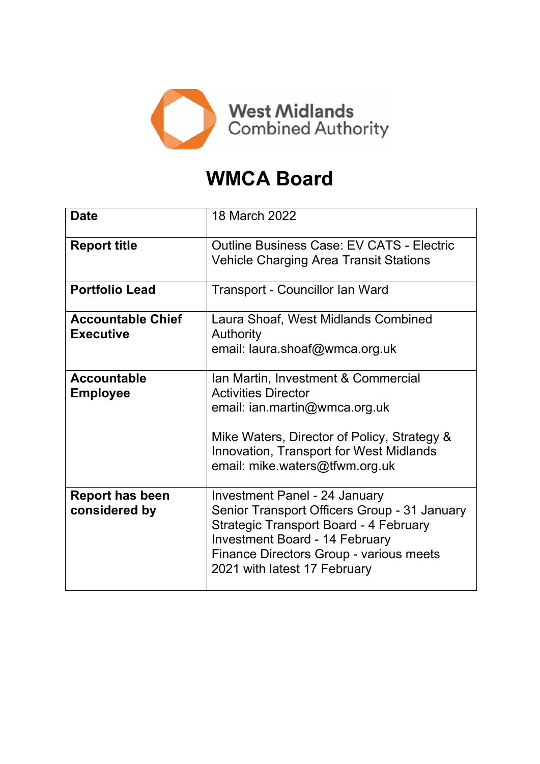

# **WMCA Board**

| <b>Date</b>                                  | 18 March 2022                                                                                                                                                                                                                                      |  |
|----------------------------------------------|----------------------------------------------------------------------------------------------------------------------------------------------------------------------------------------------------------------------------------------------------|--|
| <b>Report title</b>                          | <b>Outline Business Case: EV CATS - Electric</b><br><b>Vehicle Charging Area Transit Stations</b>                                                                                                                                                  |  |
| <b>Portfolio Lead</b>                        | Transport - Councillor Ian Ward                                                                                                                                                                                                                    |  |
| <b>Accountable Chief</b><br><b>Executive</b> | Laura Shoaf, West Midlands Combined<br><b>Authority</b><br>email: laura.shoaf@wmca.org.uk                                                                                                                                                          |  |
| <b>Accountable</b><br><b>Employee</b>        | Ian Martin, Investment & Commercial<br><b>Activities Director</b><br>email: ian.martin@wmca.org.uk<br>Mike Waters, Director of Policy, Strategy &<br><b>Innovation, Transport for West Midlands</b><br>email: mike.waters@tfwm.org.uk              |  |
| <b>Report has been</b><br>considered by      | Investment Panel - 24 January<br>Senior Transport Officers Group - 31 January<br><b>Strategic Transport Board - 4 February</b><br><b>Investment Board - 14 February</b><br>Finance Directors Group - various meets<br>2021 with latest 17 February |  |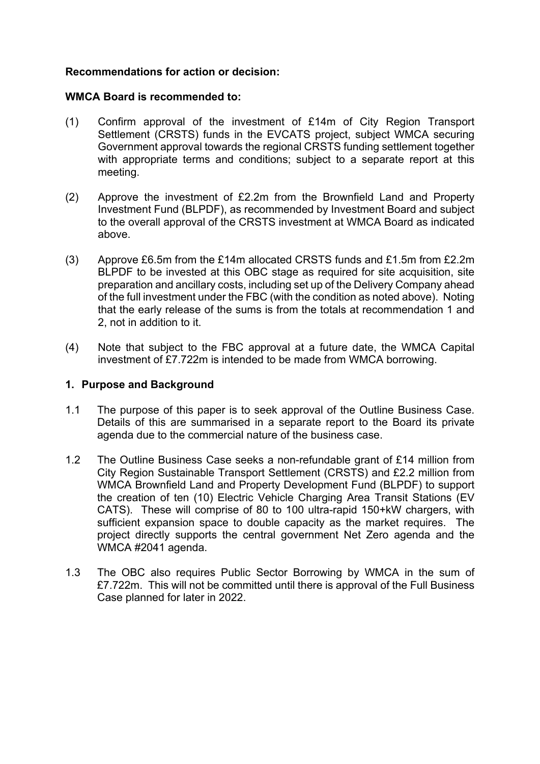# **Recommendations for action or decision:**

#### **WMCA Board is recommended to:**

- (1) Confirm approval of the investment of £14m of City Region Transport Settlement (CRSTS) funds in the EVCATS project, subject WMCA securing Government approval towards the regional CRSTS funding settlement together with appropriate terms and conditions; subject to a separate report at this meeting.
- (2) Approve the investment of £2.2m from the Brownfield Land and Property Investment Fund (BLPDF), as recommended by Investment Board and subject to the overall approval of the CRSTS investment at WMCA Board as indicated above.
- (3) Approve £6.5m from the £14m allocated CRSTS funds and £1.5m from £2.2m BLPDF to be invested at this OBC stage as required for site acquisition, site preparation and ancillary costs, including set up of the Delivery Company ahead of the full investment under the FBC (with the condition as noted above). Noting that the early release of the sums is from the totals at recommendation 1 and 2, not in addition to it.
- (4) Note that subject to the FBC approval at a future date, the WMCA Capital investment of £7.722m is intended to be made from WMCA borrowing.

## **1. Purpose and Background**

- 1.1 The purpose of this paper is to seek approval of the Outline Business Case. Details of this are summarised in a separate report to the Board its private agenda due to the commercial nature of the business case.
- 1.2 The Outline Business Case seeks a non-refundable grant of £14 million from City Region Sustainable Transport Settlement (CRSTS) and £2.2 million from WMCA Brownfield Land and Property Development Fund (BLPDF) to support the creation of ten (10) Electric Vehicle Charging Area Transit Stations (EV CATS). These will comprise of 80 to 100 ultra-rapid 150+kW chargers, with sufficient expansion space to double capacity as the market requires. The project directly supports the central government Net Zero agenda and the WMCA #2041 agenda.
- 1.3 The OBC also requires Public Sector Borrowing by WMCA in the sum of £7.722m. This will not be committed until there is approval of the Full Business Case planned for later in 2022.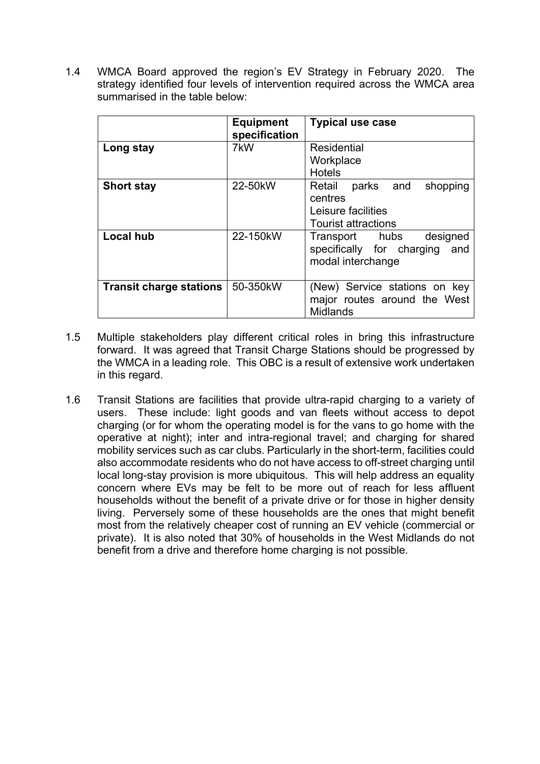1.4 WMCA Board approved the region's EV Strategy in February 2020. The strategy identified four levels of intervention required across the WMCA area summarised in the table below:

|                                | <b>Equipment</b><br>specification | <b>Typical use case</b>                                                                        |
|--------------------------------|-----------------------------------|------------------------------------------------------------------------------------------------|
| Long stay                      | 7kW                               | Residential<br>Workplace<br><b>Hotels</b>                                                      |
| <b>Short stay</b>              | 22-50kW                           | Retail<br>parks and<br>shopping<br>centres<br>Leisure facilities<br><b>Tourist attractions</b> |
| <b>Local hub</b>               | 22-150kW                          | Transport hubs<br>designed<br>specifically for charging<br>and<br>modal interchange            |
| <b>Transit charge stations</b> | 50-350kW                          | (New) Service stations on key<br>major routes around the West<br><b>Midlands</b>               |

- 1.5 Multiple stakeholders play different critical roles in bring this infrastructure forward. It was agreed that Transit Charge Stations should be progressed by the WMCA in a leading role. This OBC is a result of extensive work undertaken in this regard.
- 1.6 Transit Stations are facilities that provide ultra-rapid charging to a variety of users. These include: light goods and van fleets without access to depot charging (or for whom the operating model is for the vans to go home with the operative at night); inter and intra-regional travel; and charging for shared mobility services such as car clubs. Particularly in the short-term, facilities could also accommodate residents who do not have access to off-street charging until local long-stay provision is more ubiquitous. This will help address an equality concern where EVs may be felt to be more out of reach for less affluent households without the benefit of a private drive or for those in higher density living. Perversely some of these households are the ones that might benefit most from the relatively cheaper cost of running an EV vehicle (commercial or private). It is also noted that 30% of households in the West Midlands do not benefit from a drive and therefore home charging is not possible.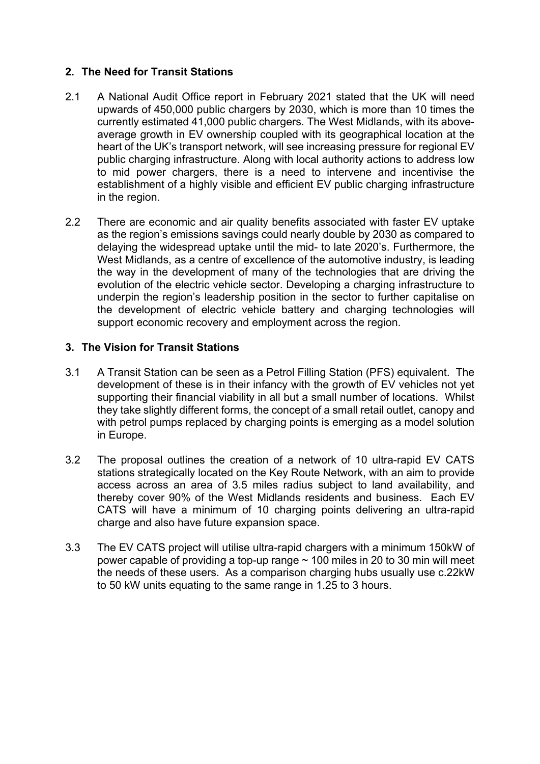# **2. The Need for Transit Stations**

- 2.1 A National Audit Office report in February 2021 stated that the UK will need upwards of 450,000 public chargers by 2030, which is more than 10 times the currently estimated 41,000 public chargers. The West Midlands, with its aboveaverage growth in EV ownership coupled with its geographical location at the heart of the UK's transport network, will see increasing pressure for regional EV public charging infrastructure. Along with local authority actions to address low to mid power chargers, there is a need to intervene and incentivise the establishment of a highly visible and efficient EV public charging infrastructure in the region.
- 2.2 There are economic and air quality benefits associated with faster EV uptake as the region's emissions savings could nearly double by 2030 as compared to delaying the widespread uptake until the mid- to late 2020's. Furthermore, the West Midlands, as a centre of excellence of the automotive industry, is leading the way in the development of many of the technologies that are driving the evolution of the electric vehicle sector. Developing a charging infrastructure to underpin the region's leadership position in the sector to further capitalise on the development of electric vehicle battery and charging technologies will support economic recovery and employment across the region.

# **3. The Vision for Transit Stations**

- 3.1 A Transit Station can be seen as a Petrol Filling Station (PFS) equivalent. The development of these is in their infancy with the growth of EV vehicles not yet supporting their financial viability in all but a small number of locations. Whilst they take slightly different forms, the concept of a small retail outlet, canopy and with petrol pumps replaced by charging points is emerging as a model solution in Europe.
- 3.2 The proposal outlines the creation of a network of 10 ultra-rapid EV CATS stations strategically located on the Key Route Network, with an aim to provide access across an area of 3.5 miles radius subject to land availability, and thereby cover 90% of the West Midlands residents and business. Each EV CATS will have a minimum of 10 charging points delivering an ultra-rapid charge and also have future expansion space.
- 3.3 The EV CATS project will utilise ultra-rapid chargers with a minimum 150kW of power capable of providing a top-up range  $\sim$  100 miles in 20 to 30 min will meet the needs of these users. As a comparison charging hubs usually use c.22kW to 50 kW units equating to the same range in 1.25 to 3 hours.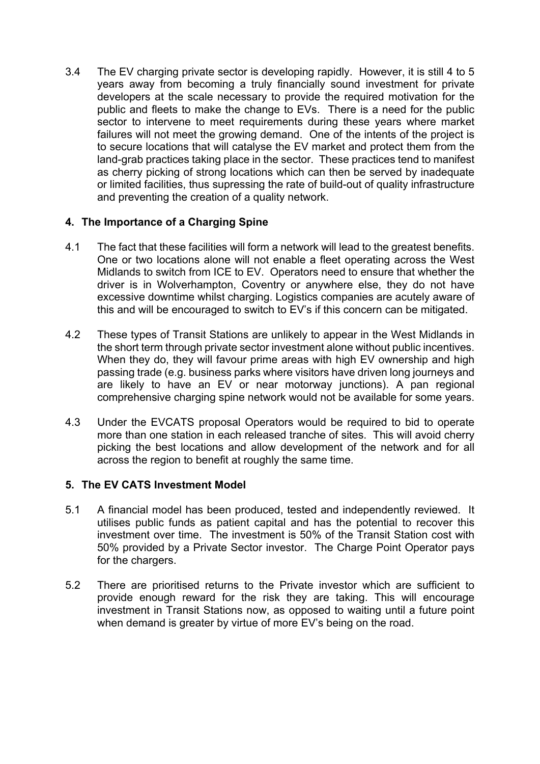3.4 The EV charging private sector is developing rapidly. However, it is still 4 to 5 years away from becoming a truly financially sound investment for private developers at the scale necessary to provide the required motivation for the public and fleets to make the change to EVs. There is a need for the public sector to intervene to meet requirements during these years where market failures will not meet the growing demand. One of the intents of the project is to secure locations that will catalyse the EV market and protect them from the land-grab practices taking place in the sector. These practices tend to manifest as cherry picking of strong locations which can then be served by inadequate or limited facilities, thus supressing the rate of build-out of quality infrastructure and preventing the creation of a quality network.

# **4. The Importance of a Charging Spine**

- 4.1 The fact that these facilities will form a network will lead to the greatest benefits. One or two locations alone will not enable a fleet operating across the West Midlands to switch from ICE to EV. Operators need to ensure that whether the driver is in Wolverhampton, Coventry or anywhere else, they do not have excessive downtime whilst charging. Logistics companies are acutely aware of this and will be encouraged to switch to EV's if this concern can be mitigated.
- 4.2 These types of Transit Stations are unlikely to appear in the West Midlands in the short term through private sector investment alone without public incentives. When they do, they will favour prime areas with high EV ownership and high passing trade (e.g. business parks where visitors have driven long journeys and are likely to have an EV or near motorway junctions). A pan regional comprehensive charging spine network would not be available for some years.
- 4.3 Under the EVCATS proposal Operators would be required to bid to operate more than one station in each released tranche of sites. This will avoid cherry picking the best locations and allow development of the network and for all across the region to benefit at roughly the same time.

# **5. The EV CATS Investment Model**

- 5.1 A financial model has been produced, tested and independently reviewed. It utilises public funds as patient capital and has the potential to recover this investment over time. The investment is 50% of the Transit Station cost with 50% provided by a Private Sector investor. The Charge Point Operator pays for the chargers.
- 5.2 There are prioritised returns to the Private investor which are sufficient to provide enough reward for the risk they are taking. This will encourage investment in Transit Stations now, as opposed to waiting until a future point when demand is greater by virtue of more EV's being on the road.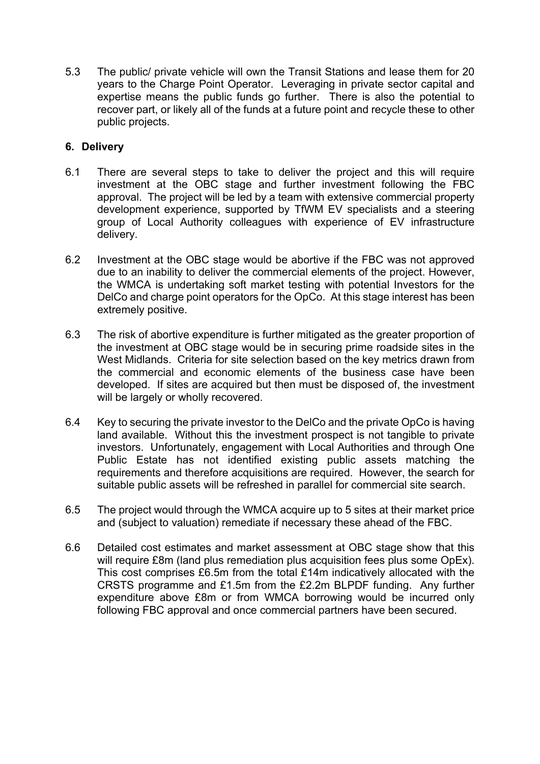5.3 The public/ private vehicle will own the Transit Stations and lease them for 20 years to the Charge Point Operator. Leveraging in private sector capital and expertise means the public funds go further. There is also the potential to recover part, or likely all of the funds at a future point and recycle these to other public projects.

# **6. Delivery**

- 6.1 There are several steps to take to deliver the project and this will require investment at the OBC stage and further investment following the FBC approval. The project will be led by a team with extensive commercial property development experience, supported by TfWM EV specialists and a steering group of Local Authority colleagues with experience of EV infrastructure delivery.
- 6.2 Investment at the OBC stage would be abortive if the FBC was not approved due to an inability to deliver the commercial elements of the project. However, the WMCA is undertaking soft market testing with potential Investors for the DelCo and charge point operators for the OpCo. At this stage interest has been extremely positive.
- 6.3 The risk of abortive expenditure is further mitigated as the greater proportion of the investment at OBC stage would be in securing prime roadside sites in the West Midlands. Criteria for site selection based on the key metrics drawn from the commercial and economic elements of the business case have been developed. If sites are acquired but then must be disposed of, the investment will be largely or wholly recovered.
- 6.4 Key to securing the private investor to the DelCo and the private OpCo is having land available. Without this the investment prospect is not tangible to private investors. Unfortunately, engagement with Local Authorities and through One Public Estate has not identified existing public assets matching the requirements and therefore acquisitions are required. However, the search for suitable public assets will be refreshed in parallel for commercial site search.
- 6.5 The project would through the WMCA acquire up to 5 sites at their market price and (subject to valuation) remediate if necessary these ahead of the FBC.
- 6.6 Detailed cost estimates and market assessment at OBC stage show that this will require £8m (land plus remediation plus acquisition fees plus some OpEx). This cost comprises £6.5m from the total £14m indicatively allocated with the CRSTS programme and £1.5m from the £2.2m BLPDF funding. Any further expenditure above £8m or from WMCA borrowing would be incurred only following FBC approval and once commercial partners have been secured.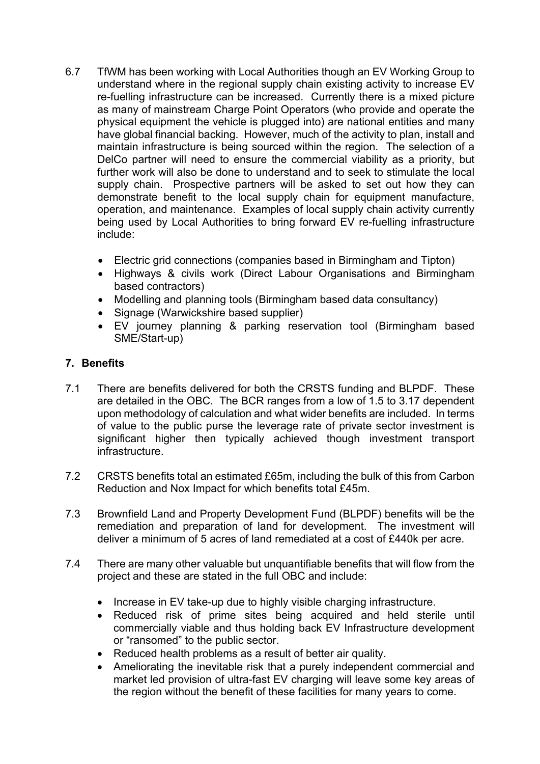- 6.7 TfWM has been working with Local Authorities though an EV Working Group to understand where in the regional supply chain existing activity to increase EV re-fuelling infrastructure can be increased. Currently there is a mixed picture as many of mainstream Charge Point Operators (who provide and operate the physical equipment the vehicle is plugged into) are national entities and many have global financial backing. However, much of the activity to plan, install and maintain infrastructure is being sourced within the region. The selection of a DelCo partner will need to ensure the commercial viability as a priority, but further work will also be done to understand and to seek to stimulate the local supply chain. Prospective partners will be asked to set out how they can demonstrate benefit to the local supply chain for equipment manufacture, operation, and maintenance. Examples of local supply chain activity currently being used by Local Authorities to bring forward EV re-fuelling infrastructure include:
	- Electric grid connections (companies based in Birmingham and Tipton)
	- Highways & civils work (Direct Labour Organisations and Birmingham based contractors)
	- Modelling and planning tools (Birmingham based data consultancy)
	- Signage (Warwickshire based supplier)
	- EV journey planning & parking reservation tool (Birmingham based SME/Start-up)

# **7. Benefits**

- 7.1 There are benefits delivered for both the CRSTS funding and BLPDF. These are detailed in the OBC. The BCR ranges from a low of 1.5 to 3.17 dependent upon methodology of calculation and what wider benefits are included. In terms of value to the public purse the leverage rate of private sector investment is significant higher then typically achieved though investment transport infrastructure.
- 7.2 CRSTS benefits total an estimated £65m, including the bulk of this from Carbon Reduction and Nox Impact for which benefits total £45m.
- 7.3 Brownfield Land and Property Development Fund (BLPDF) benefits will be the remediation and preparation of land for development. The investment will deliver a minimum of 5 acres of land remediated at a cost of £440k per acre.
- 7.4 There are many other valuable but unquantifiable benefits that will flow from the project and these are stated in the full OBC and include:
	- Increase in EV take-up due to highly visible charging infrastructure.
	- Reduced risk of prime sites being acquired and held sterile until commercially viable and thus holding back EV Infrastructure development or "ransomed" to the public sector.
	- Reduced health problems as a result of better air quality.
	- Ameliorating the inevitable risk that a purely independent commercial and market led provision of ultra-fast EV charging will leave some key areas of the region without the benefit of these facilities for many years to come.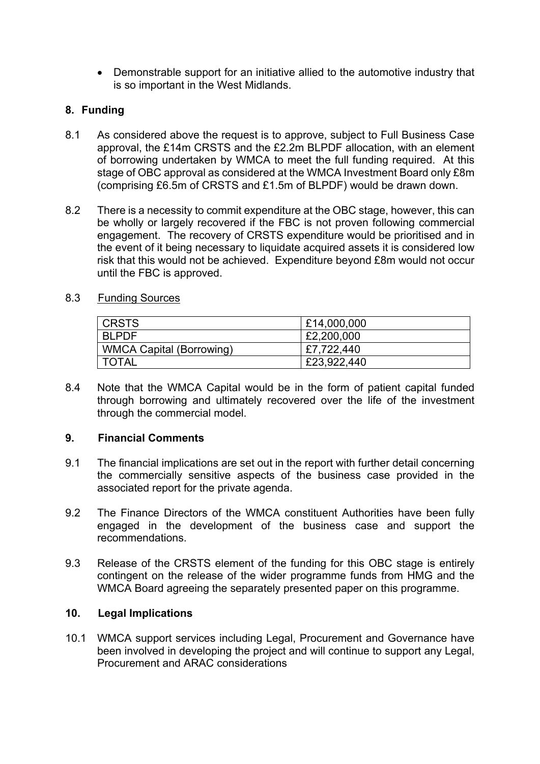Demonstrable support for an initiative allied to the automotive industry that is so important in the West Midlands.

# **8. Funding**

- 8.1 As considered above the request is to approve, subject to Full Business Case approval, the £14m CRSTS and the £2.2m BLPDF allocation, with an element of borrowing undertaken by WMCA to meet the full funding required. At this stage of OBC approval as considered at the WMCA Investment Board only £8m (comprising £6.5m of CRSTS and £1.5m of BLPDF) would be drawn down.
- 8.2 There is a necessity to commit expenditure at the OBC stage, however, this can be wholly or largely recovered if the FBC is not proven following commercial engagement. The recovery of CRSTS expenditure would be prioritised and in the event of it being necessary to liquidate acquired assets it is considered low risk that this would not be achieved. Expenditure beyond £8m would not occur until the FBC is approved.

# 8.3 Funding Sources

| <b>CRSTS</b>                    | £14,000,000 |
|---------------------------------|-------------|
| <b>BLPDF</b>                    | £2,200,000  |
| <b>WMCA Capital (Borrowing)</b> | £7,722,440  |
| <b>TOTAL</b>                    | £23,922,440 |

8.4 Note that the WMCA Capital would be in the form of patient capital funded through borrowing and ultimately recovered over the life of the investment through the commercial model.

## **9. Financial Comments**

- 9.1 The financial implications are set out in the report with further detail concerning the commercially sensitive aspects of the business case provided in the associated report for the private agenda.
- 9.2 The Finance Directors of the WMCA constituent Authorities have been fully engaged in the development of the business case and support the recommendations.
- 9.3 Release of the CRSTS element of the funding for this OBC stage is entirely contingent on the release of the wider programme funds from HMG and the WMCA Board agreeing the separately presented paper on this programme.

## **10. Legal Implications**

10.1 WMCA support services including Legal, Procurement and Governance have been involved in developing the project and will continue to support any Legal, Procurement and ARAC considerations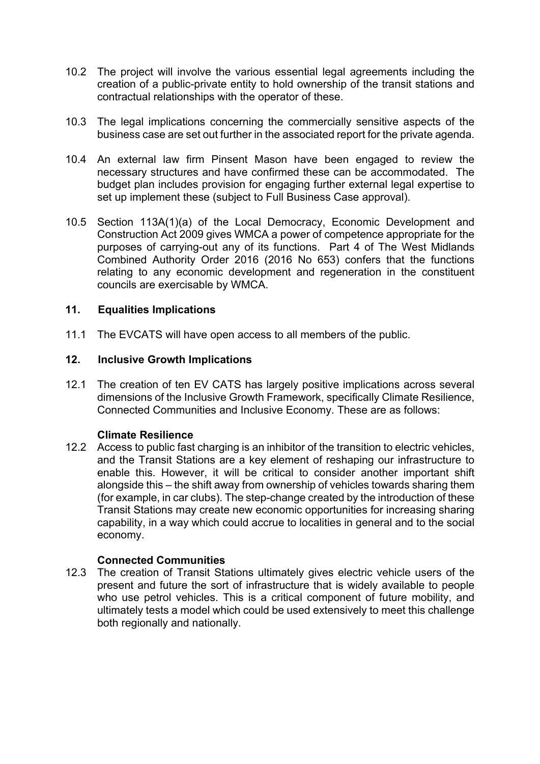- 10.2 The project will involve the various essential legal agreements including the creation of a public-private entity to hold ownership of the transit stations and contractual relationships with the operator of these.
- 10.3 The legal implications concerning the commercially sensitive aspects of the business case are set out further in the associated report for the private agenda.
- 10.4 An external law firm Pinsent Mason have been engaged to review the necessary structures and have confirmed these can be accommodated. The budget plan includes provision for engaging further external legal expertise to set up implement these (subject to Full Business Case approval).
- 10.5 Section 113A(1)(a) of the Local Democracy, Economic Development and Construction Act 2009 gives WMCA a power of competence appropriate for the purposes of carrying-out any of its functions. Part 4 of The West Midlands Combined Authority Order 2016 (2016 No 653) confers that the functions relating to any economic development and regeneration in the constituent councils are exercisable by WMCA.

# **11. Equalities Implications**

11.1 The EVCATS will have open access to all members of the public.

## **12. Inclusive Growth Implications**

12.1 The creation of ten EV CATS has largely positive implications across several dimensions of the Inclusive Growth Framework, specifically Climate Resilience, Connected Communities and Inclusive Economy. These are as follows:

## **Climate Resilience**

12.2 Access to public fast charging is an inhibitor of the transition to electric vehicles, and the Transit Stations are a key element of reshaping our infrastructure to enable this. However, it will be critical to consider another important shift alongside this – the shift away from ownership of vehicles towards sharing them (for example, in car clubs). The step-change created by the introduction of these Transit Stations may create new economic opportunities for increasing sharing capability, in a way which could accrue to localities in general and to the social economy.

## **Connected Communities**

12.3 The creation of Transit Stations ultimately gives electric vehicle users of the present and future the sort of infrastructure that is widely available to people who use petrol vehicles. This is a critical component of future mobility, and ultimately tests a model which could be used extensively to meet this challenge both regionally and nationally.